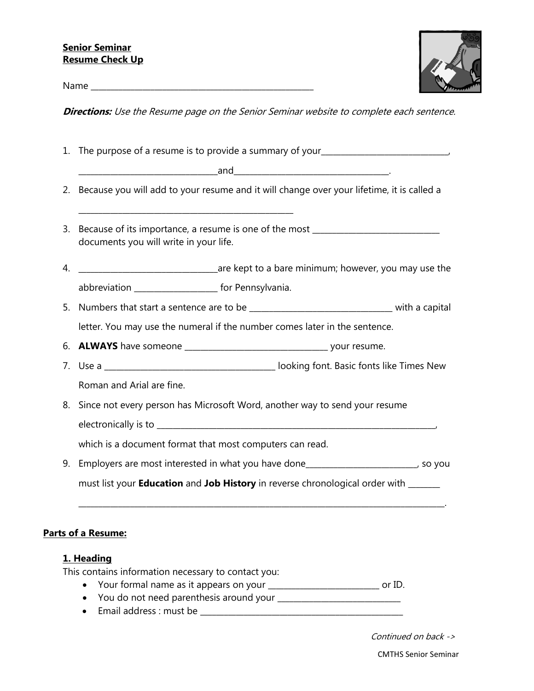

Name \_\_\_\_\_\_\_\_\_\_\_\_\_\_\_\_\_\_\_\_\_\_\_\_\_\_\_\_\_\_\_\_\_\_\_\_\_\_\_\_\_\_\_\_\_\_\_\_\_\_\_\_\_\_\_\_

**Directions:** Use the Resume page on the Senior Seminar website to complete each sentence.

| 1. The purpose of a resume is to provide a summary of your______________________                                                                            |  |
|-------------------------------------------------------------------------------------------------------------------------------------------------------------|--|
|                                                                                                                                                             |  |
| 2. Because you will add to your resume and it will change over your lifetime, it is called a<br><u> 1989 - Johann Stoff, amerikansk politiker (d. 1989)</u> |  |
| 3. Because of its importance, a resume is one of the most ______________________<br>documents you will write in your life.                                  |  |
|                                                                                                                                                             |  |
| abbreviation _____________________ for Pennsylvania.                                                                                                        |  |
| 5. Numbers that start a sentence are to be ________________________________ with a capital                                                                  |  |
| letter. You may use the numeral if the number comes later in the sentence.                                                                                  |  |
|                                                                                                                                                             |  |
|                                                                                                                                                             |  |
| Roman and Arial are fine.                                                                                                                                   |  |
| 8. Since not every person has Microsoft Word, another way to send your resume                                                                               |  |
|                                                                                                                                                             |  |
| which is a document format that most computers can read.                                                                                                    |  |
| 9. Employers are most interested in what you have done________________________, so you                                                                      |  |
| must list your <b>Education</b> and Job History in reverse chronological order with ______                                                                  |  |

# **Parts of a Resume:**

### **1. Heading**

This contains information necessary to contact you:

- Your formal name as it appears on your \_\_\_\_\_\_\_\_\_\_\_\_\_\_\_\_\_\_\_\_\_\_\_\_\_\_\_\_ or ID.
- You do not need parenthesis around your \_\_\_\_\_\_\_\_\_\_\_\_\_\_\_\_\_\_\_\_\_\_\_\_\_\_\_\_\_\_\_
- Email address : must be \_\_\_\_\_\_\_\_\_\_\_\_\_\_\_\_\_\_\_\_\_\_\_\_\_\_\_\_\_\_\_\_\_\_\_\_\_\_\_\_\_\_\_\_\_\_\_\_\_\_\_

Continued on back ->